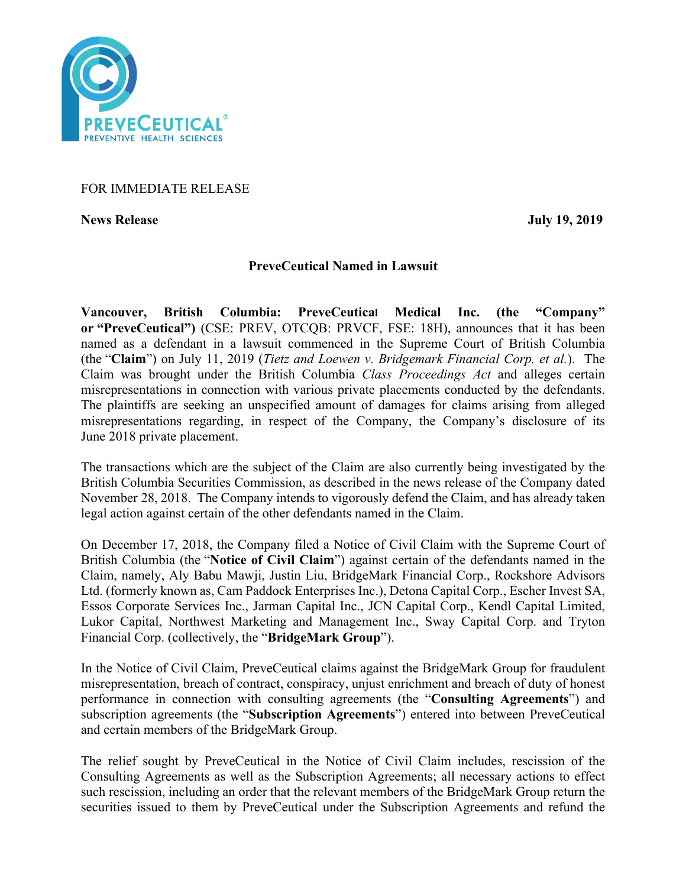

# FOR IMMEDIATE RELEASE

**News Release July 19, 2019**

# **PreveCeutical Named in Lawsuit**

**Vancouver, British Columbia: PreveCeutical Medical Inc. (the "Company" or "PreveCeutical")** (CSE: PREV, OTCQB: PRVCF, FSE: 18H), announces that it has been named as a defendant in a lawsuit commenced in the Supreme Court of British Columbia (the "**Claim**") on July 11, 2019 (*Tietz and Loewen v. Bridgemark Financial Corp. et al.*). The Claim was brought under the British Columbia *Class Proceedings Act* and alleges certain misrepresentations in connection with various private placements conducted by the defendants. The plaintiffs are seeking an unspecified amount of damages for claims arising from alleged misrepresentations regarding, in respect of the Company, the Company's disclosure of its June 2018 private placement.

The transactions which are the subject of the Claim are also currently being investigated by the British Columbia Securities Commission, as described in the news release of the Company dated November 28, 2018. The Company intends to vigorously defend the Claim, and has already taken legal action against certain of the other defendants named in the Claim.

On December 17, 2018, the Company filed a Notice of Civil Claim with the Supreme Court of British Columbia (the "**Notice of Civil Claim**") against certain of the defendants named in the Claim, namely, Aly Babu Mawji, Justin Liu, BridgeMark Financial Corp., Rockshore Advisors Ltd. (formerly known as, Cam Paddock Enterprises Inc.), Detona Capital Corp., Escher Invest SA, Essos Corporate Services Inc., Jarman Capital Inc., JCN Capital Corp., Kendl Capital Limited, Lukor Capital, Northwest Marketing and Management Inc., Sway Capital Corp. and Tryton Financial Corp. (collectively, the "**BridgeMark Group**").

In the Notice of Civil Claim, PreveCeutical claims against the BridgeMark Group for fraudulent misrepresentation, breach of contract, conspiracy, unjust enrichment and breach of duty of honest performance in connection with consulting agreements (the "**Consulting Agreements**") and subscription agreements (the "**Subscription Agreements**") entered into between PreveCeutical and certain members of the BridgeMark Group.

The relief sought by PreveCeutical in the Notice of Civil Claim includes, rescission of the Consulting Agreements as well as the Subscription Agreements; all necessary actions to effect such rescission, including an order that the relevant members of the BridgeMark Group return the securities issued to them by PreveCeutical under the Subscription Agreements and refund the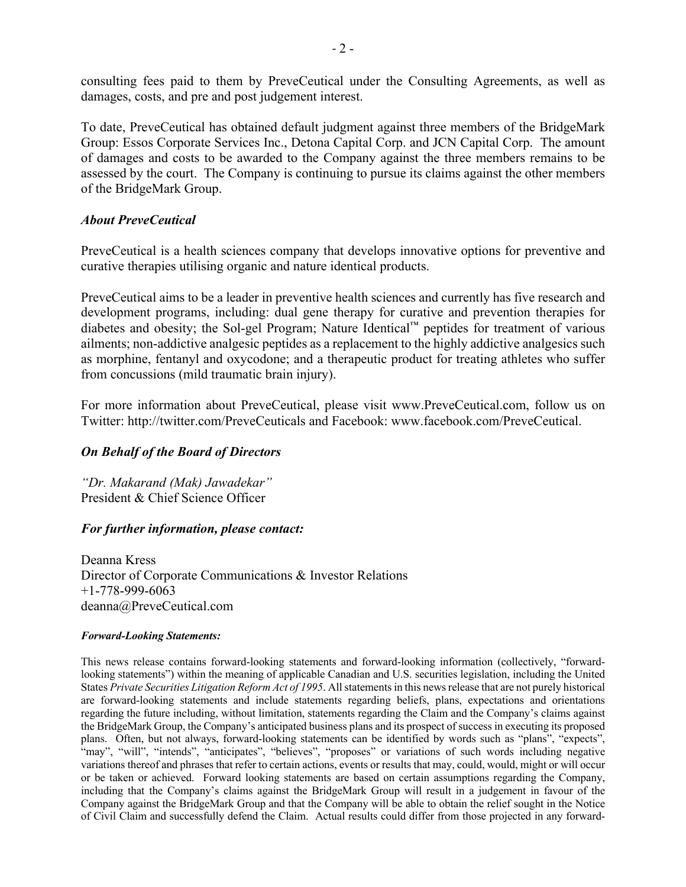consulting fees paid to them by PreveCeutical under the Consulting Agreements, as well as damages, costs, and pre and post judgement interest.

To date, PreveCeutical has obtained default judgment against three members of the BridgeMark Group: Essos Corporate Services Inc., Detona Capital Corp. and JCN Capital Corp. The amount of damages and costs to be awarded to the Company against the three members remains to be assessed by the court. The Company is continuing to pursue its claims against the other members of the BridgeMark Group.

## *About PreveCeutical*

PreveCeutical is a health sciences company that develops innovative options for preventive and curative therapies utilising organic and nature identical products.

PreveCeutical aims to be a leader in preventive health sciences and currently has five research and development programs, including: dual gene therapy for curative and prevention therapies for diabetes and obesity; the Sol-gel Program; Nature Identical™ peptides for treatment of various ailments; non-addictive analgesic peptides as a replacement to the highly addictive analgesics such as morphine, fentanyl and oxycodone; and a therapeutic product for treating athletes who suffer from concussions (mild traumatic brain injury).

For more information about PreveCeutical, please visit www.PreveCeutical.com, follow us on Twitter: http://twitter.com/PreveCeuticals and Facebook: www.facebook.com/PreveCeutical.

# *On Behalf of the Board of Directors*

*"Dr. Makarand (Mak) Jawadekar"* President & Chief Science Officer

## *For further information, please contact:*

Deanna Kress Director of Corporate Communications & Investor Relations +1-778-999-6063 deanna@PreveCeutical.com

#### *Forward-Looking Statements:*

This news release contains forward-looking statements and forward-looking information (collectively, "forwardlooking statements") within the meaning of applicable Canadian and U.S. securities legislation, including the United States *Private Securities Litigation Reform Act of 1995*. All statements in this news release that are not purely historical are forward-looking statements and include statements regarding beliefs, plans, expectations and orientations regarding the future including, without limitation, statements regarding the Claim and the Company's claims against the BridgeMark Group, the Company's anticipated business plans and its prospect of success in executing its proposed plans. Often, but not always, forward-looking statements can be identified by words such as "plans", "expects", "may", "will", "intends", "anticipates", "believes", "proposes" or variations of such words including negative variations thereof and phrases that refer to certain actions, events or results that may, could, would, might or will occur or be taken or achieved. Forward looking statements are based on certain assumptions regarding the Company, including that the Company's claims against the BridgeMark Group will result in a judgement in favour of the Company against the BridgeMark Group and that the Company will be able to obtain the relief sought in the Notice of Civil Claim and successfully defend the Claim. Actual results could differ from those projected in any forward